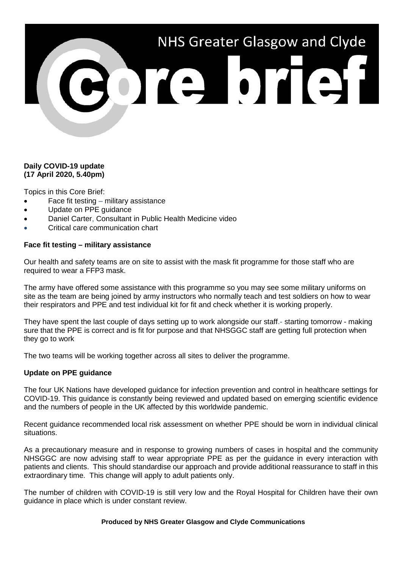# NHS Greater Glasgow and Clyde

## **Daily COVID-19 update (17 April 2020, 5.40pm)**

Topics in this Core Brief:

- Face fit testing military assistance
- Update on PPE guidance
- Daniel Carter, Consultant in Public Health Medicine video
- Critical care communication chart

### **Face fit testing – military assistance**

Our health and safety teams are on site to assist with the mask fit programme for those staff who are required to wear a FFP3 mask.

The army have offered some assistance with this programme so you may see some military uniforms on site as the team are being joined by army instructors who normally teach and test soldiers on how to wear their respirators and PPE and test individual kit for fit and check whether it is working properly.

They have spent the last couple of days setting up to work alongside our staff.- starting tomorrow - making sure that the PPE is correct and is fit for purpose and that NHSGGC staff are getting full protection when they go to work

The two teams will be working together across all sites to deliver the programme.

### **Update on PPE guidance**

The four UK Nations have developed guidance for infection prevention and control in healthcare settings for COVID-19. This guidance is constantly being reviewed and updated based on emerging scientific evidence and the numbers of people in the UK affected by this worldwide pandemic.

Recent guidance recommended local risk assessment on whether PPE should be worn in individual clinical situations.

As a precautionary measure and in response to growing numbers of cases in hospital and the community NHSGGC are now advising staff to wear appropriate PPE as per the guidance in every interaction with patients and clients. This should standardise our approach and provide additional reassurance to staff in this extraordinary time. This change will apply to adult patients only.

The number of children with COVID-19 is still very low and the Royal Hospital for Children have their own guidance in place which is under constant review.

### **Produced by NHS Greater Glasgow and Clyde Communications**